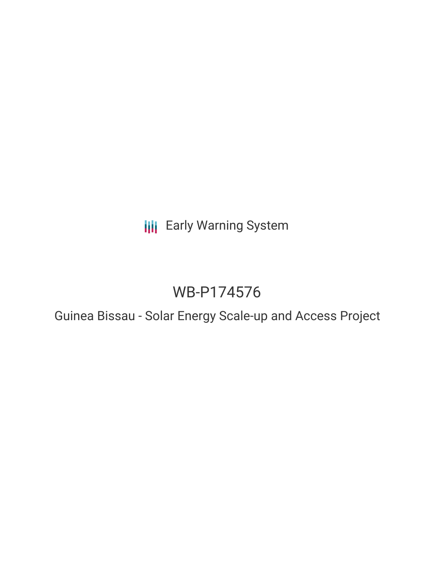**III** Early Warning System

# WB-P174576

Guinea Bissau - Solar Energy Scale-up and Access Project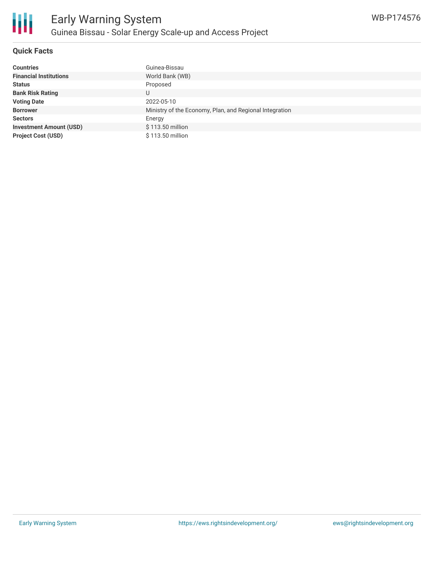

## **Quick Facts**

| <b>Countries</b>               | Guinea-Bissau                                           |
|--------------------------------|---------------------------------------------------------|
| <b>Financial Institutions</b>  | World Bank (WB)                                         |
| <b>Status</b>                  | Proposed                                                |
| <b>Bank Risk Rating</b>        | U                                                       |
| <b>Voting Date</b>             | 2022-05-10                                              |
| <b>Borrower</b>                | Ministry of the Economy, Plan, and Regional Integration |
| <b>Sectors</b>                 | Energy                                                  |
| <b>Investment Amount (USD)</b> | \$113.50 million                                        |
| <b>Project Cost (USD)</b>      | \$113.50 million                                        |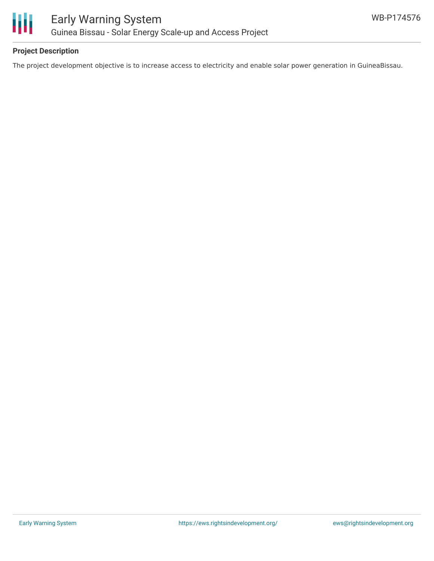

### **Project Description**

The project development objective is to increase access to electricity and enable solar power generation in GuineaBissau.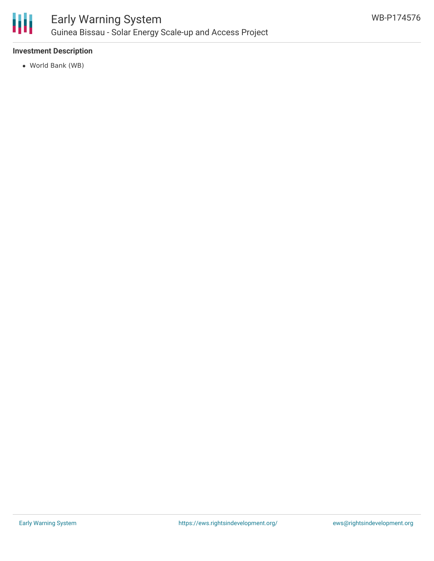

#### **Investment Description**

World Bank (WB)